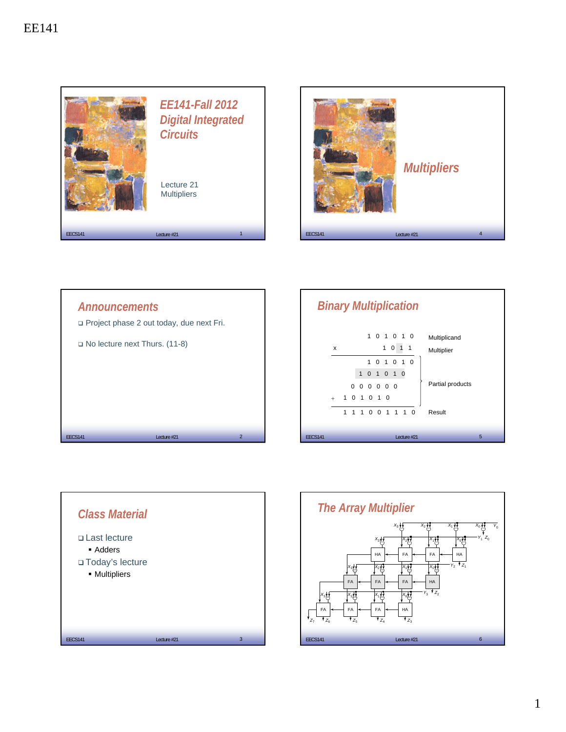





| <b>Binary Multiplication</b> |            |             |              |              |                                                     |  |         |                |             |          |                            |
|------------------------------|------------|-------------|--------------|--------------|-----------------------------------------------------|--|---------|----------------|-------------|----------|----------------------------|
|                              | x          |             |              |              |                                                     |  | 1       | 0 <sub>1</sub> | 1 0 1 0 1 0 | 1        | Multiplicand<br>Multiplier |
|                              | $+ 101010$ |             | $\Omega$     |              | 1<br>1 0 1 0 1 0<br>$0\quad 0\quad 0\quad 0\quad 0$ |  | 0 1 0 1 |                |             | $\Omega$ | Partial products           |
|                              |            | 1           | $\mathbf{1}$ | $\mathbf{1}$ |                                                     |  |         |                | 0 0 1 1 1 0 |          | Result                     |
| <b>EECS141</b>               |            | Lecture #21 |              |              |                                                     |  |         |                |             |          | 5                          |